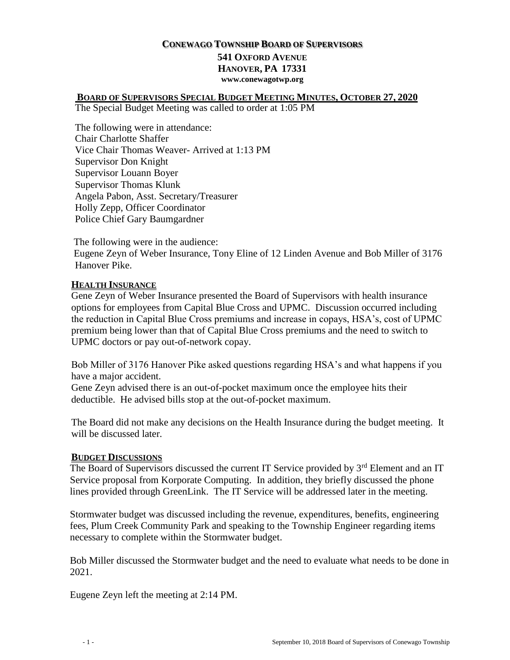# **CONEWAGO TOWNSHIP BOARD OF SUPERVISORS 541 OXFORD AVENUE HANOVER, PA 17331**

**www.conewagotwp.org**

## **BOARD OF SUPERVISORS SPECIAL BUDGET MEETING MINUTES, OCTOBER 27, 2020**

The Special Budget Meeting was called to order at 1:05 PM

The following were in attendance: Chair Charlotte Shaffer Vice Chair Thomas Weaver- Arrived at 1:13 PM Supervisor Don Knight Supervisor Louann Boyer Supervisor Thomas Klunk Angela Pabon, Asst. Secretary/Treasurer Holly Zepp, Officer Coordinator Police Chief Gary Baumgardner

The following were in the audience: Eugene Zeyn of Weber Insurance, Tony Eline of 12 Linden Avenue and Bob Miller of 3176 Hanover Pike.

### **HEALTH INSURANCE**

Gene Zeyn of Weber Insurance presented the Board of Supervisors with health insurance options for employees from Capital Blue Cross and UPMC. Discussion occurred including the reduction in Capital Blue Cross premiums and increase in copays, HSA's, cost of UPMC premium being lower than that of Capital Blue Cross premiums and the need to switch to UPMC doctors or pay out-of-network copay.

Bob Miller of 3176 Hanover Pike asked questions regarding HSA's and what happens if you have a major accident.

Gene Zeyn advised there is an out-of-pocket maximum once the employee hits their deductible. He advised bills stop at the out-of-pocket maximum.

The Board did not make any decisions on the Health Insurance during the budget meeting. It will be discussed later.

### **BUDGET DISCUSSIONS**

The Board of Supervisors discussed the current IT Service provided by 3<sup>rd</sup> Element and an IT Service proposal from Korporate Computing. In addition, they briefly discussed the phone lines provided through GreenLink. The IT Service will be addressed later in the meeting.

Stormwater budget was discussed including the revenue, expenditures, benefits, engineering fees, Plum Creek Community Park and speaking to the Township Engineer regarding items necessary to complete within the Stormwater budget.

Bob Miller discussed the Stormwater budget and the need to evaluate what needs to be done in 2021.

Eugene Zeyn left the meeting at 2:14 PM.